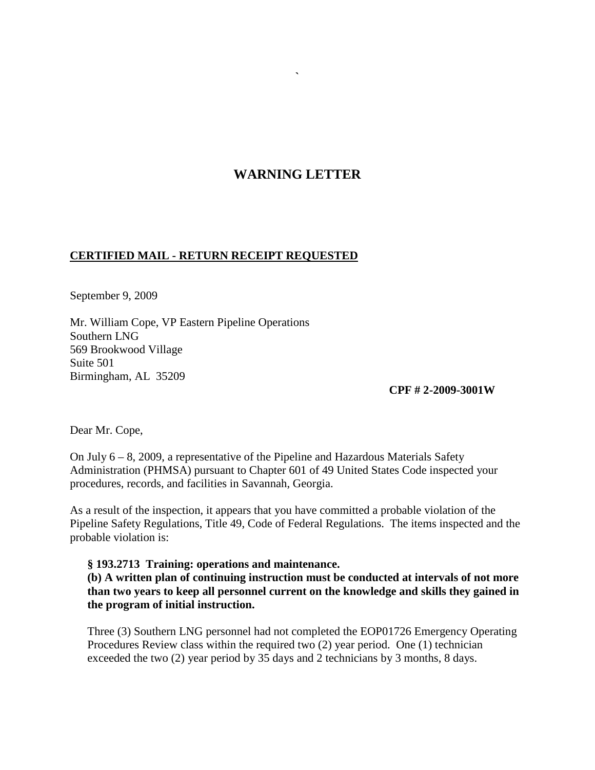## **WARNING LETTER**

**`**

## **CERTIFIED MAIL - RETURN RECEIPT REQUESTED**

September 9, 2009

Mr. William Cope, VP Eastern Pipeline Operations Southern LNG 569 Brookwood Village Suite 501 Birmingham, AL 35209

**CPF # 2-2009-3001W**

Dear Mr. Cope,

On July 6 – 8, 2009, a representative of the Pipeline and Hazardous Materials Safety Administration (PHMSA) pursuant to Chapter 601 of 49 United States Code inspected your procedures, records, and facilities in Savannah, Georgia.

As a result of the inspection, it appears that you have committed a probable violation of the Pipeline Safety Regulations, Title 49, Code of Federal Regulations. The items inspected and the probable violation is:

## **§ 193.2713 Training: operations and maintenance.**

**(b) A written plan of continuing instruction must be conducted at intervals of not more than two years to keep all personnel current on the knowledge and skills they gained in the program of initial instruction.**

Three (3) Southern LNG personnel had not completed the EOP01726 Emergency Operating Procedures Review class within the required two (2) year period. One (1) technician exceeded the two (2) year period by 35 days and 2 technicians by 3 months, 8 days.